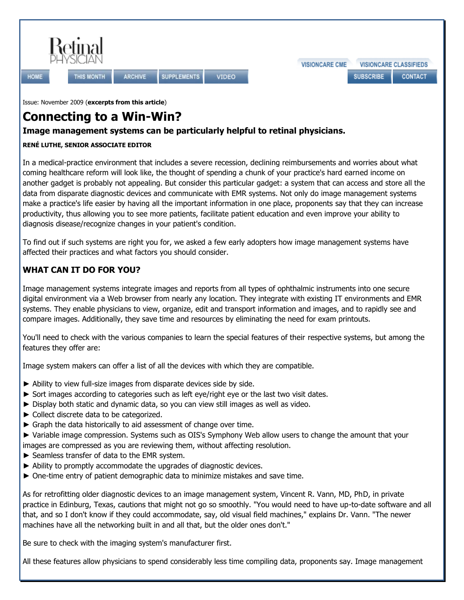

**HOME** 

**SUPPLEMENTS VIDEO** 

Issue: [November 2009](http://www.retinalphysician.com/archive.aspx?searchOptions=rbIssue&tm=11/1/2009) (**excerpts from this article**)

THIS MONTH

# **Connecting to a Win-Win?**

**ARCHIVE** 

## **Image management systems can be particularly helpful to retinal physicians.**

#### **RENÉ LUTHE, SENIOR ASSOCIATE EDITOR**

In a medical-practice environment that includes a severe recession, declining reimbursements and worries about what coming healthcare reform will look like, the thought of spending a chunk of your practice's hard earned income on another gadget is probably not appealing. But consider this particular gadget: a system that can access and store all the data from disparate diagnostic devices and communicate with EMR systems. Not only do image management systems make a practice's life easier by having all the important information in one place, proponents say that they can increase productivity, thus allowing you to see more patients, facilitate patient education and even improve your ability to diagnosis disease/recognize changes in your patient's condition.

To find out if such systems are right you for, we asked a few early adopters how image management systems have affected their practices and what factors you should consider.

## **WHAT CAN IT DO FOR YOU?**

Image management systems integrate images and reports from all types of ophthalmic instruments into one secure digital environment via a Web browser from nearly any location. They integrate with existing IT environments and EMR systems. They enable physicians to view, organize, edit and transport information and images, and to rapidly see and compare images. Additionally, they save time and resources by eliminating the need for exam printouts.

You'll need to check with the various companies to learn the special features of their respective systems, but among the features they offer are:

Image system makers can offer a list of all the devices with which they are compatible.

- ► Ability to view full-size images from disparate devices side by side.
- ► Sort images according to categories such as left eye/right eye or the last two visit dates.
- ► Display both static and dynamic data, so you can view still images as well as video.
- ► Collect discrete data to be categorized.
- ► Graph the data historically to aid assessment of change over time.
- ► Variable image compression. Systems such as OIS's Symphony Web allow users to change the amount that your
- images are compressed as you are reviewing them, without affecting resolution.
- ► Seamless transfer of data to the EMR system.
- ► Ability to promptly accommodate the upgrades of diagnostic devices.
- ► One-time entry of patient demographic data to minimize mistakes and save time.

As for retrofitting older diagnostic devices to an image management system, Vincent R. Vann, MD, PhD, in private practice in Edinburg, Texas, cautions that might not go so smoothly. "You would need to have up-to-date software and all that, and so I don't know if they could accommodate, say, old visual field machines," explains Dr. Vann. "The newer machines have all the networking built in and all that, but the older ones don't."

Be sure to check with the imaging system's manufacturer first.

All these features allow physicians to spend considerably less time compiling data, proponents say. Image management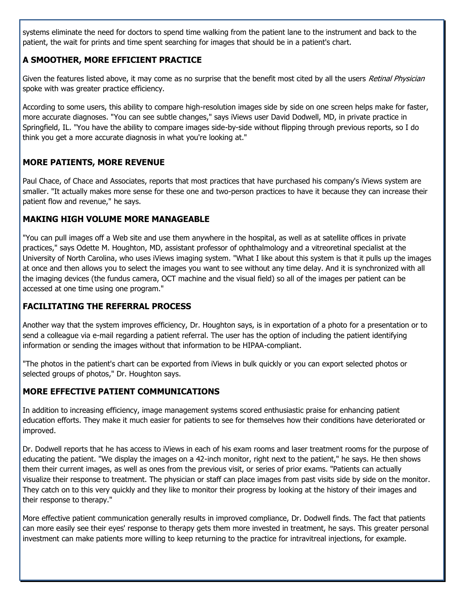systems eliminate the need for doctors to spend time walking from the patient lane to the instrument and back to the patient, the wait for prints and time spent searching for images that should be in a patient's chart.

#### **A SMOOTHER, MORE EFFICIENT PRACTICE**

Given the features listed above, it may come as no surprise that the benefit most cited by all the users Retinal Physician spoke with was greater practice efficiency.

According to some users, this ability to compare high-resolution images side by side on one screen helps make for faster, more accurate diagnoses. "You can see subtle changes," says iViews user David Dodwell, MD, in private practice in Springfield, IL. "You have the ability to compare images side-by-side without flipping through previous reports, so I do think you get a more accurate diagnosis in what you're looking at."

#### **MORE PATIENTS, MORE REVENUE**

Paul Chace, of Chace and Associates, reports that most practices that have purchased his company's iViews system are smaller. "It actually makes more sense for these one and two-person practices to have it because they can increase their patient flow and revenue," he says.

#### **MAKING HIGH VOLUME MORE MANAGEABLE**

"You can pull images off a Web site and use them anywhere in the hospital, as well as at satellite offices in private practices," says Odette M. Houghton, MD, assistant professor of ophthalmology and a vitreoretinal specialist at the University of North Carolina, who uses iViews imaging system. "What I like about this system is that it pulls up the images at once and then allows you to select the images you want to see without any time delay. And it is synchronized with all the imaging devices (the fundus camera, OCT machine and the visual field) so all of the images per patient can be accessed at one time using one program."

#### **FACILITATING THE REFERRAL PROCESS**

Another way that the system improves efficiency, Dr. Houghton says, is in exportation of a photo for a presentation or to send a colleague via e-mail regarding a patient referral. The user has the option of including the patient identifying information or sending the images without that information to be HIPAA-compliant.

"The photos in the patient's chart can be exported from iViews in bulk quickly or you can export selected photos or selected groups of photos," Dr. Houghton says.

#### **MORE EFFECTIVE PATIENT COMMUNICATIONS**

In addition to increasing efficiency, image management systems scored enthusiastic praise for enhancing patient education efforts. They make it much easier for patients to see for themselves how their conditions have deteriorated or improved.

Dr. Dodwell reports that he has access to iViews in each of his exam rooms and laser treatment rooms for the purpose of educating the patient. "We display the images on a 42-inch monitor, right next to the patient," he says. He then shows them their current images, as well as ones from the previous visit, or series of prior exams. "Patients can actually visualize their response to treatment. The physician or staff can place images from past visits side by side on the monitor. They catch on to this very quickly and they like to monitor their progress by looking at the history of their images and their response to therapy."

More effective patient communication generally results in improved compliance, Dr. Dodwell finds. The fact that patients can more easily see their eyes' response to therapy gets them more invested in treatment, he says. This greater personal investment can make patients more willing to keep returning to the practice for intravitreal injections, for example.